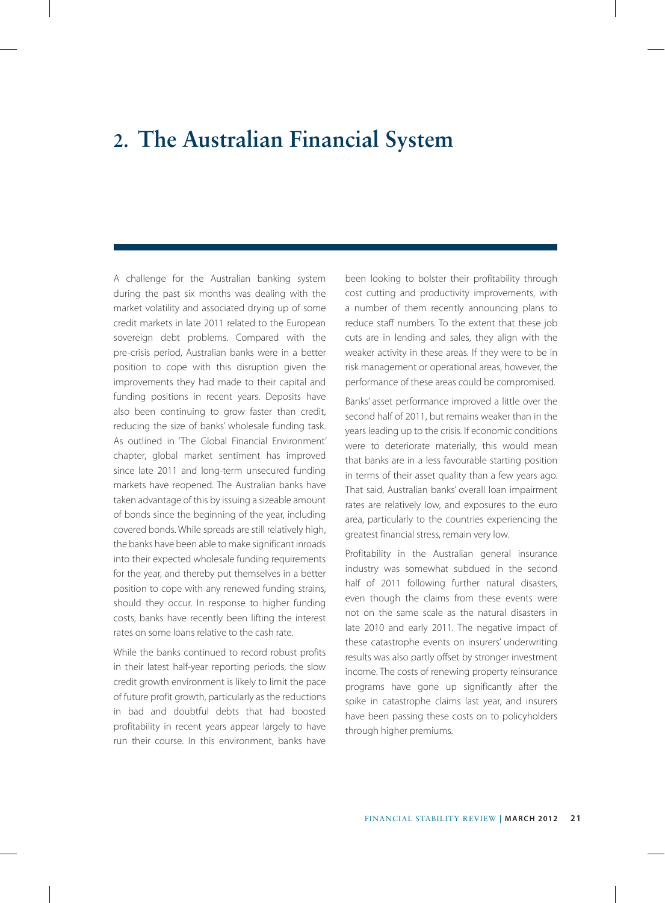# **2. The Australian Financial System**

A challenge for the Australian banking system during the past six months was dealing with the market volatility and associated drying up of some credit markets in late 2011 related to the European sovereign debt problems. Compared with the pre-crisis period, Australian banks were in a better position to cope with this disruption given the improvements they had made to their capital and funding positions in recent years. Deposits have also been continuing to grow faster than credit, reducing the size of banks' wholesale funding task. As outlined in 'The Global Financial Environment' chapter, global market sentiment has improved since late 2011 and long-term unsecured funding markets have reopened. The Australian banks have taken advantage of this by issuing a sizeable amount of bonds since the beginning of the year, including covered bonds. While spreads are still relatively high, the banks have been able to make significant inroads into their expected wholesale funding requirements for the year, and thereby put themselves in a better position to cope with any renewed funding strains, should they occur. In response to higher funding costs, banks have recently been lifting the interest rates on some loans relative to the cash rate.

While the banks continued to record robust profits in their latest half-year reporting periods, the slow credit growth environment is likely to limit the pace of future profit growth, particularly as the reductions in bad and doubtful debts that had boosted profitability in recent years appear largely to have run their course. In this environment, banks have been looking to bolster their profitability through cost cutting and productivity improvements, with a number of them recently announcing plans to reduce staff numbers. To the extent that these job cuts are in lending and sales, they align with the weaker activity in these areas. If they were to be in risk management or operational areas, however, the performance of these areas could be compromised.

Banks' asset performance improved a little over the second half of 2011, but remains weaker than in the years leading up to the crisis. If economic conditions were to deteriorate materially, this would mean that banks are in a less favourable starting position in terms of their asset quality than a few years ago. That said, Australian banks' overall loan impairment rates are relatively low, and exposures to the euro area, particularly to the countries experiencing the greatest financial stress, remain very low.

Profitability in the Australian general insurance industry was somewhat subdued in the second half of 2011 following further natural disasters, even though the claims from these events were not on the same scale as the natural disasters in late 2010 and early 2011. The negative impact of these catastrophe events on insurers' underwriting results was also partly offset by stronger investment income. The costs of renewing property reinsurance programs have gone up significantly after the spike in catastrophe claims last year, and insurers have been passing these costs on to policyholders through higher premiums.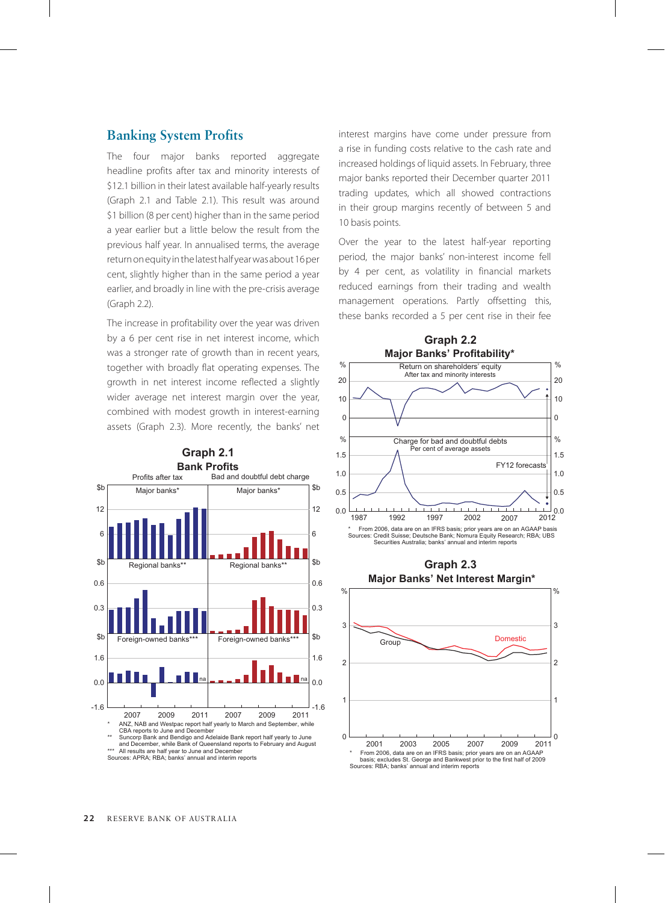## **Banking System Profits**

The four major banks reported aggregate headline profits after tax and minority interests of \$12.1 billion in their latest available half-yearly results (Graph 2.1 and Table 2.1). This result was around \$1 billion (8 per cent) higher than in the same period a year earlier but a little below the result from the previous half year. In annualised terms, the average return on equity in the latest half year was about 16 per cent, slightly higher than in the same period a year earlier, and broadly in line with the pre-crisis average (Graph 2.2).

The increase in profitability over the year was driven by a 6 per cent rise in net interest income, which was a stronger rate of growth than in recent years, together with broadly flat operating expenses. The growth in net interest income reflected a slightly wider average net interest margin over the year, combined with modest growth in interest-earning assets (Graph 2.3). More recently, the banks' net



\*\*\* All results are half year to June and December Sources: APRA; RBA; banks' annual and interim reports

interest margins have come under pressure from a rise in funding costs relative to the cash rate and increased holdings of liquid assets. In February, three major banks reported their December quarter 2011 trading updates, which all showed contractions in their group margins recently of between 5 and 10 basis points.

Over the year to the latest half-year reporting period, the major banks' non-interest income fell by 4 per cent, as volatility in financial markets reduced earnings from their trading and wealth management operations. Partly offsetting this, these banks recorded a 5 per cent rise in their fee



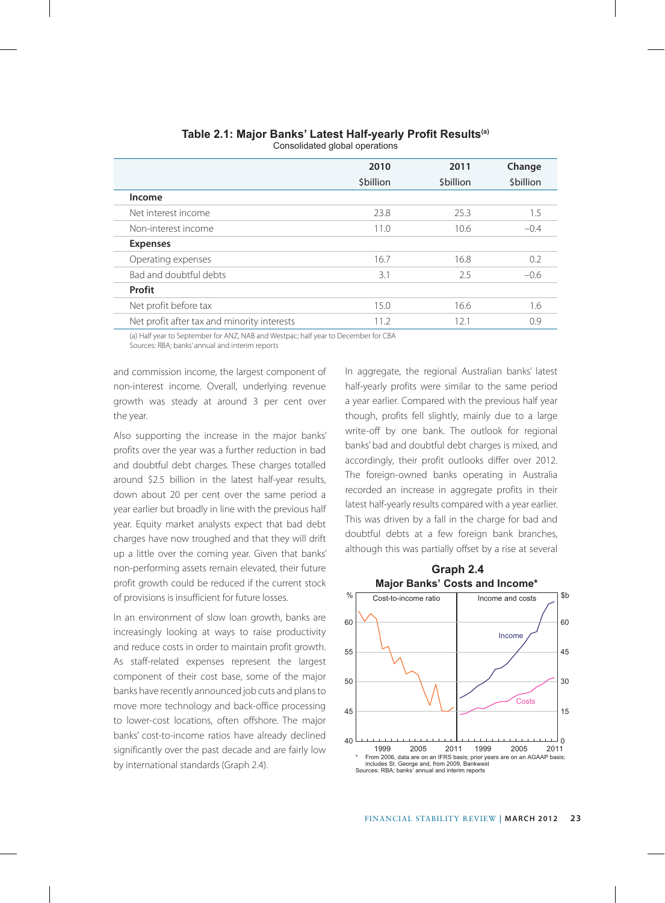#### **Table 2.1: Major Banks' Latest Half-yearly Profit Results(a)**

Consolidated global operations

|                                             | 2010            | 2011            | Change          |
|---------------------------------------------|-----------------|-----------------|-----------------|
|                                             | <b>Sbillion</b> | <b>Sbillion</b> | <b>Sbillion</b> |
| Income                                      |                 |                 |                 |
| Net interest income                         | 23.8            | 25.3            | 1.5             |
| Non-interest income                         | 11.0            | 10.6            | $-0.4$          |
| <b>Expenses</b>                             |                 |                 |                 |
| Operating expenses                          | 16.7            | 16.8            | 0.2             |
| Bad and doubtful debts                      | 3.1             | 2.5             | $-0.6$          |
| Profit                                      |                 |                 |                 |
| Net profit before tax                       | 15.0            | 16.6            | 1.6             |
| Net profit after tax and minority interests | 11.2            | 12.1            | 0.9             |

(a) Half year to September for ANZ, NAB and Westpac; half year to December for CBA Sources: RBA; banks' annual and interim reports

and commission income, the largest component of non-interest income. Overall, underlying revenue growth was steady at around 3 per cent over the year.

Also supporting the increase in the major banks' profits over the year was a further reduction in bad and doubtful debt charges. These charges totalled around \$2.5 billion in the latest half-year results, down about 20 per cent over the same period a year earlier but broadly in line with the previous half year. Equity market analysts expect that bad debt charges have now troughed and that they will drift up a little over the coming year. Given that banks' non-performing assets remain elevated, their future profit growth could be reduced if the current stock of provisions is insufficient for future losses.

In an environment of slow loan growth, banks are increasingly looking at ways to raise productivity and reduce costs in order to maintain profit growth. As staff-related expenses represent the largest component of their cost base, some of the major banks have recently announced job cuts and plans to move more technology and back-office processing to lower-cost locations, often offshore. The major banks' cost-to-income ratios have already declined significantly over the past decade and are fairly low by international standards (Graph 2.4).

In aggregate, the regional Australian banks' latest half-yearly profits were similar to the same period a year earlier. Compared with the previous half year though, profits fell slightly, mainly due to a large write-off by one bank. The outlook for regional banks' bad and doubtful debt charges is mixed, and accordingly, their profit outlooks differ over 2012. The foreign-owned banks operating in Australia recorded an increase in aggregate profits in their latest half-yearly results compared with a year earlier. This was driven by a fall in the charge for bad and doubtful debts at a few foreign bank branches, although this was partially offset by a rise at several

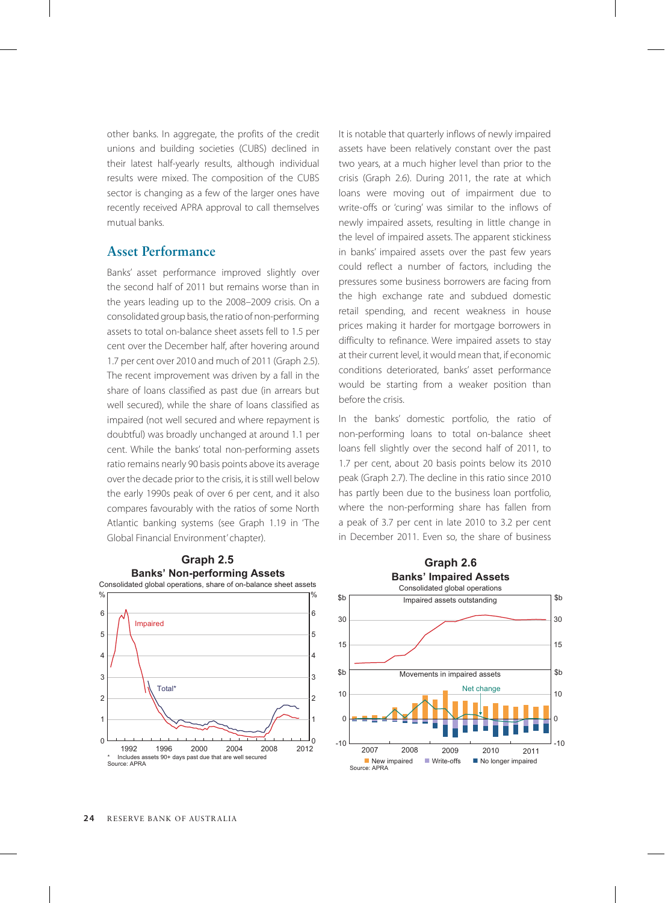other banks. In aggregate, the profits of the credit unions and building societies (CUBS) declined in their latest half-yearly results, although individual results were mixed. The composition of the CUBS sector is changing as a few of the larger ones have recently received APRA approval to call themselves mutual banks.

## **Asset Performance**

Banks' asset performance improved slightly over the second half of 2011 but remains worse than in the years leading up to the 2008–2009 crisis. On a consolidated group basis, the ratio of non-performing assets to total on-balance sheet assets fell to 1.5 per cent over the December half, after hovering around 1.7 per cent over 2010 and much of 2011 (Graph 2.5). The recent improvement was driven by a fall in the share of loans classified as past due (in arrears but well secured), while the share of loans classified as impaired (not well secured and where repayment is doubtful) was broadly unchanged at around 1.1 per cent. While the banks' total non-performing assets ratio remains nearly 90 basis points above its average over the decade prior to the crisis, it is still well below the early 1990s peak of over 6 per cent, and it also compares favourably with the ratios of some North Atlantic banking systems (see Graph 1.19 in 'The Global Financial Environment' chapter).



**Banks' Non-performing Assets Graph 2.5**

It is notable that quarterly inflows of newly impaired assets have been relatively constant over the past two years, at a much higher level than prior to the crisis (Graph 2.6). During 2011, the rate at which loans were moving out of impairment due to write-offs or 'curing' was similar to the inflows of newly impaired assets, resulting in little change in the level of impaired assets. The apparent stickiness in banks' impaired assets over the past few years could reflect a number of factors, including the pressures some business borrowers are facing from the high exchange rate and subdued domestic retail spending, and recent weakness in house prices making it harder for mortgage borrowers in difficulty to refinance. Were impaired assets to stay at their current level, it would mean that, if economic conditions deteriorated, banks' asset performance would be starting from a weaker position than before the crisis.

In the banks' domestic portfolio, the ratio of non-performing loans to total on-balance sheet loans fell slightly over the second half of 2011, to 1.7 per cent, about 20 basis points below its 2010 peak (Graph 2.7). The decline in this ratio since 2010 has partly been due to the business loan portfolio, where the non-performing share has fallen from a peak of 3.7 per cent in late 2010 to 3.2 per cent in December 2011. Even so, the share of business

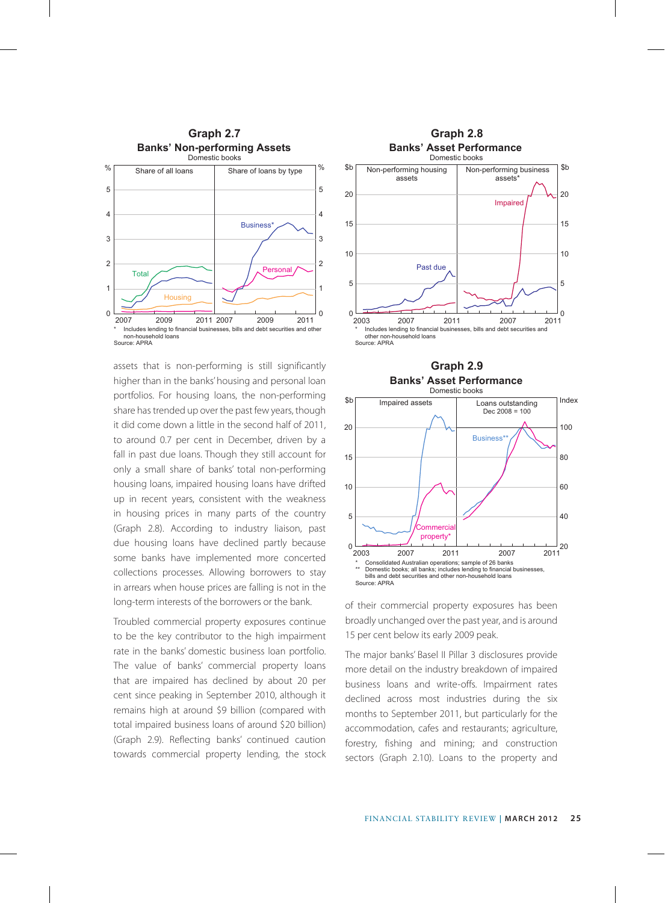

assets that is non-performing is still significantly higher than in the banks' housing and personal loan portfolios. For housing loans, the non-performing share has trended up over the past few years, though it did come down a little in the second half of 2011, to around 0.7 per cent in December, driven by a fall in past due loans. Though they still account for only a small share of banks' total non-performing housing loans, impaired housing loans have drifted up in recent years, consistent with the weakness in housing prices in many parts of the country (Graph 2.8). According to industry liaison, past due housing loans have declined partly because some banks have implemented more concerted collections processes. Allowing borrowers to stay in arrears when house prices are falling is not in the long-term interests of the borrowers or the bank.

Troubled commercial property exposures continue to be the key contributor to the high impairment rate in the banks' domestic business loan portfolio. The value of banks' commercial property loans that are impaired has declined by about 20 per cent since peaking in September 2010, although it remains high at around \$9 billion (compared with total impaired business loans of around \$20 billion) (Graph 2.9). Reflecting banks' continued caution towards commercial property lending, the stock





of their commercial property exposures has been broadly unchanged over the past year, and is around 15 per cent below its early 2009 peak.

bills and debt securities and other non-household loans

Source: APRA

The major banks' Basel II Pillar 3 disclosures provide more detail on the industry breakdown of impaired business loans and write-offs. Impairment rates declined across most industries during the six months to September 2011, but particularly for the accommodation, cafes and restaurants; agriculture, forestry, fishing and mining; and construction sectors (Graph 2.10). Loans to the property and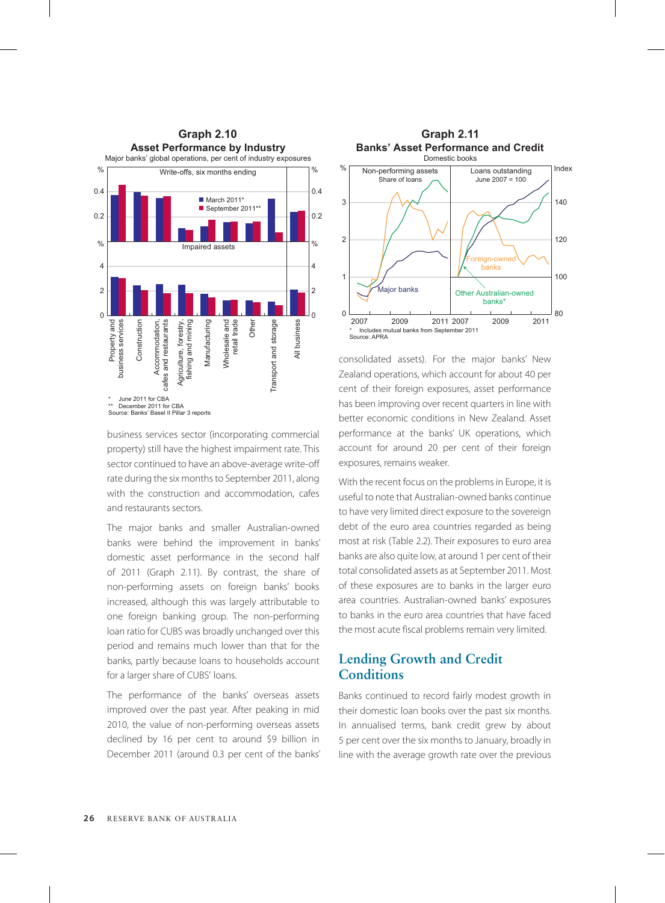

business services sector (incorporating commercial property) still have the highest impairment rate. This sector continued to have an above-average write-off rate during the six months to September 2011, along with the construction and accommodation, cafes and restaurants sectors.

The major banks and smaller Australian-owned banks were behind the improvement in banks' domestic asset performance in the second half of 2011 (Graph 2.11). By contrast, the share of non-performing assets on foreign banks' books increased, although this was largely attributable to one foreign banking group. The non-performing loan ratio for CUBS was broadly unchanged over this period and remains much lower than that for the banks, partly because loans to households account for a larger share of CUBS' loans.

The performance of the banks' overseas assets improved over the past year. After peaking in mid 2010, the value of non-performing overseas assets declined by 16 per cent to around \$9 billion in December 2011 (around 0.3 per cent of the banks'



consolidated assets). For the major banks' New Zealand operations, which account for about 40 per cent of their foreign exposures, asset performance has been improving over recent quarters in line with better economic conditions in New Zealand. Asset performance at the banks' UK operations, which account for around 20 per cent of their foreign exposures, remains weaker.

With the recent focus on the problems in Europe, it is useful to note that Australian-owned banks continue to have very limited direct exposure to the sovereign debt of the euro area countries regarded as being most at risk (Table 2.2). Their exposures to euro area banks are also quite low, at around 1 per cent of their total consolidated assets as at September 2011. Most of these exposures are to banks in the larger euro area countries. Australian-owned banks' exposures to banks in the euro area countries that have faced the most acute fiscal problems remain very limited.

## **Lending Growth and Credit Conditions**

Banks continued to record fairly modest growth in their domestic loan books over the past six months. In annualised terms, bank credit grew by about 5 per cent over the six months to January, broadly in line with the average growth rate over the previous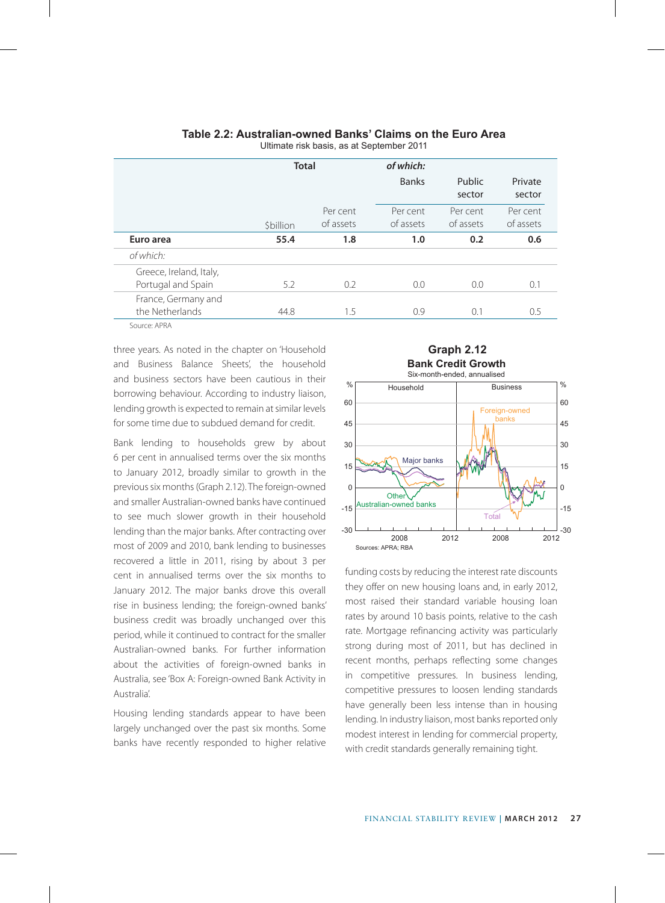|                                               | <b>Total</b> |                       | of which:             |                       |                       |
|-----------------------------------------------|--------------|-----------------------|-----------------------|-----------------------|-----------------------|
|                                               |              |                       | <b>Banks</b>          | Public<br>sector      | Private<br>sector     |
|                                               | \$billion    | Per cent<br>of assets | Per cent<br>of assets | Per cent<br>of assets | Per cent<br>of assets |
| Euro area                                     | 55.4         | 1.8                   | 1.0                   | 0.2                   | 0.6                   |
| of which:                                     |              |                       |                       |                       |                       |
| Greece, Ireland, Italy,<br>Portugal and Spain | 5.2          | 0.2                   | 0.0                   | 0.0                   | 0.1                   |
| France, Germany and<br>the Netherlands        | 44.8         | 1.5                   | 0.9                   | 0.1                   | 0.5                   |
|                                               |              |                       |                       |                       |                       |

#### **Table 2.2: Australian-owned Banks' Claims on the Euro Area**

Ultimate risk basis, as at September 2011

Source: APRA

three years. As noted in the chapter on 'Household **Graph 2.12** and Business Balance Sheets', the household and business sectors have been cautious in their borrowing behaviour. According to industry liaison, lending growth is expected to remain at similar levels for some time due to subdued demand for credit.

Bank lending to households grew by about 6 per cent in annualised terms over the six months to January 2012, broadly similar to growth in the previous six months (Graph 2.12). The foreign-owned and smaller Australian-owned banks have continued to see much slower growth in their household lending than the major banks. After contracting over most of 2009 and 2010, bank lending to businesses recovered a little in 2011, rising by about 3 per cent in annualised terms over the six months to January 2012. The major banks drove this overall rise in business lending; the foreign-owned banks' business credit was broadly unchanged over this period, while it continued to contract for the smaller Australian-owned banks. For further information about the activities of foreign-owned banks in Australia, see 'Box A: Foreign-owned Bank Activity in Australia'.

Housing lending standards appear to have been largely unchanged over the past six months. Some banks have recently responded to higher relative





funding costs by reducing the interest rate discounts they offer on new housing loans and, in early 2012, most raised their standard variable housing loan rates by around 10 basis points, relative to the cash rate. Mortgage refinancing activity was particularly strong during most of 2011, but has declined in recent months, perhaps reflecting some changes in competitive pressures. In business lending, competitive pressures to loosen lending standards have generally been less intense than in housing lending. In industry liaison, most banks reported only modest interest in lending for commercial property, with credit standards generally remaining tight.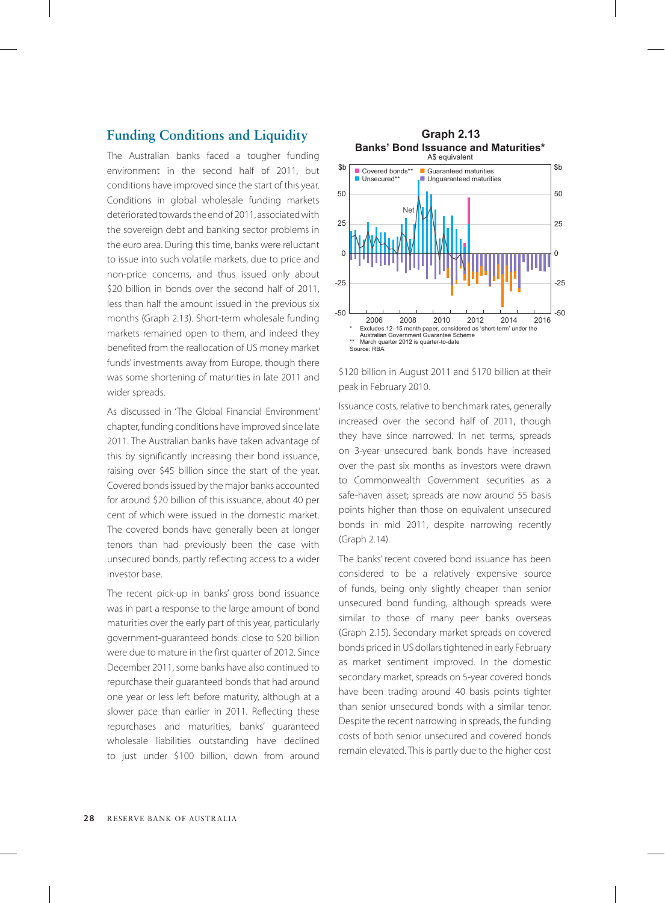# Funding Conditions and Liquidity **Graph 2.13**

The Australian banks faced a tougher funding environment in the second half of 2011, but conditions have improved since the start of this year. Conditions in global wholesale funding markets deteriorated towards the end of 2011, associated with the sovereign debt and banking sector problems in the euro area. During this time, banks were reluctant to issue into such volatile markets, due to price and non-price concerns, and thus issued only about \$20 billion in bonds over the second half of 2011, less than half the amount issued in the previous six months (Graph 2.13). Short-term wholesale funding markets remained open to them, and indeed they benefited from the reallocation of US money market funds' investments away from Europe, though there was some shortening of maturities in late 2011 and wider spreads.

As discussed in 'The Global Financial Environment' chapter, funding conditions have improved since late 2011. The Australian banks have taken advantage of this by significantly increasing their bond issuance, raising over \$45 billion since the start of the year. Covered bonds issued by the major banks accounted for around \$20 billion of this issuance, about 40 per cent of which were issued in the domestic market. The covered bonds have generally been at longer tenors than had previously been the case with unsecured bonds, partly reflecting access to a wider investor base.

The recent pick-up in banks' gross bond issuance was in part a response to the large amount of bond maturities over the early part of this year, particularly government-guaranteed bonds: close to \$20 billion were due to mature in the first quarter of 2012. Since December 2011, some banks have also continued to repurchase their guaranteed bonds that had around one year or less left before maturity, although at a slower pace than earlier in 2011. Reflecting these repurchases and maturities, banks' guaranteed wholesale liabilities outstanding have declined to just under \$100 billion, down from around



\$120 billion in August 2011 and \$170 billion at their peak in February 2010.

Issuance costs, relative to benchmark rates, generally increased over the second half of 2011, though they have since narrowed. In net terms, spreads on 3-year unsecured bank bonds have increased over the past six months as investors were drawn to Commonwealth Government securities as a safe-haven asset; spreads are now around 55 basis points higher than those on equivalent unsecured bonds in mid 2011, despite narrowing recently (Graph 2.14).

The banks' recent covered bond issuance has been considered to be a relatively expensive source of funds, being only slightly cheaper than senior unsecured bond funding, although spreads were similar to those of many peer banks overseas (Graph 2.15). Secondary market spreads on covered bonds priced in US dollars tightened in early February as market sentiment improved. In the domestic secondary market, spreads on 5-year covered bonds have been trading around 40 basis points tighter than senior unsecured bonds with a similar tenor. Despite the recent narrowing in spreads, the funding costs of both senior unsecured and covered bonds remain elevated. This is partly due to the higher cost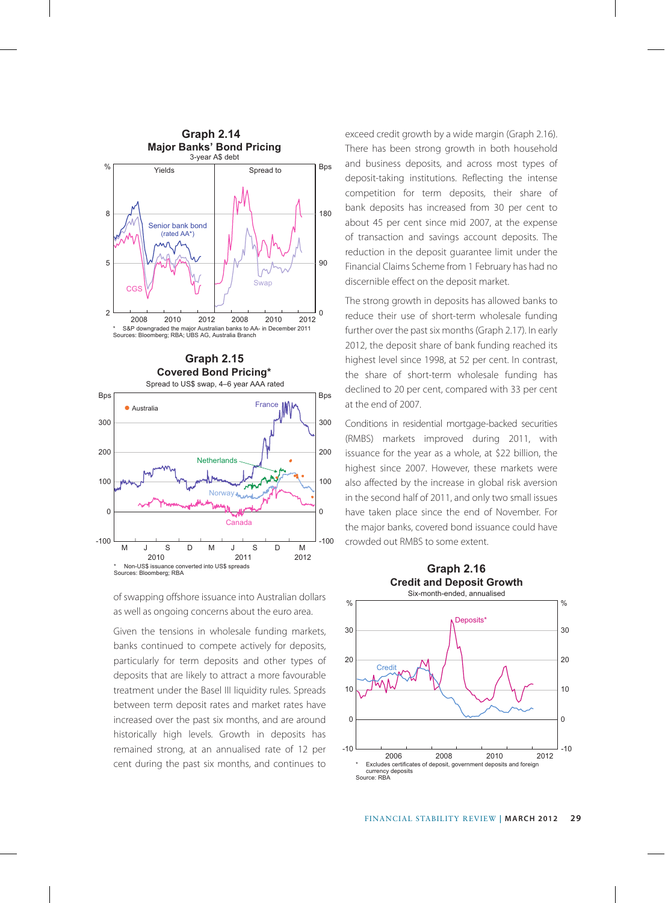



of swapping offshore issuance into Australian dollars as well as ongoing concerns about the euro area.

Given the tensions in wholesale funding markets, banks continued to compete actively for deposits, particularly for term deposits and other types of deposits that are likely to attract a more favourable treatment under the Basel III liquidity rules. Spreads between term deposit rates and market rates have increased over the past six months, and are around historically high levels. Growth in deposits has remained strong, at an annualised rate of 12 per cent during the past six months, and continues to

exceed credit growth by a wide margin (Graph 2.16). There has been strong growth in both household and business deposits, and across most types of deposit-taking institutions. Reflecting the intense competition for term deposits, their share of bank deposits has increased from 30 per cent to about 45 per cent since mid 2007, at the expense of transaction and savings account deposits. The reduction in the deposit guarantee limit under the Financial Claims Scheme from 1 February has had no discernible effect on the deposit market.

The strong growth in deposits has allowed banks to reduce their use of short-term wholesale funding further over the past six months (Graph 2.17). In early 2012, the deposit share of bank funding reached its highest level since 1998, at 52 per cent. In contrast, the share of short-term wholesale funding has declined to 20 per cent, compared with 33 per cent at the end of 2007.

Conditions in residential mortgage-backed securities (RMBS) markets improved during 2011, with issuance for the year as a whole, at \$22 billion, the highest since 2007. However, these markets were also affected by the increase in global risk aversion in the second half of 2011, and only two small issues have taken place since the end of November. For the major banks, covered bond issuance could have crowded out RMBS to some extent.

**Graph 2.16**

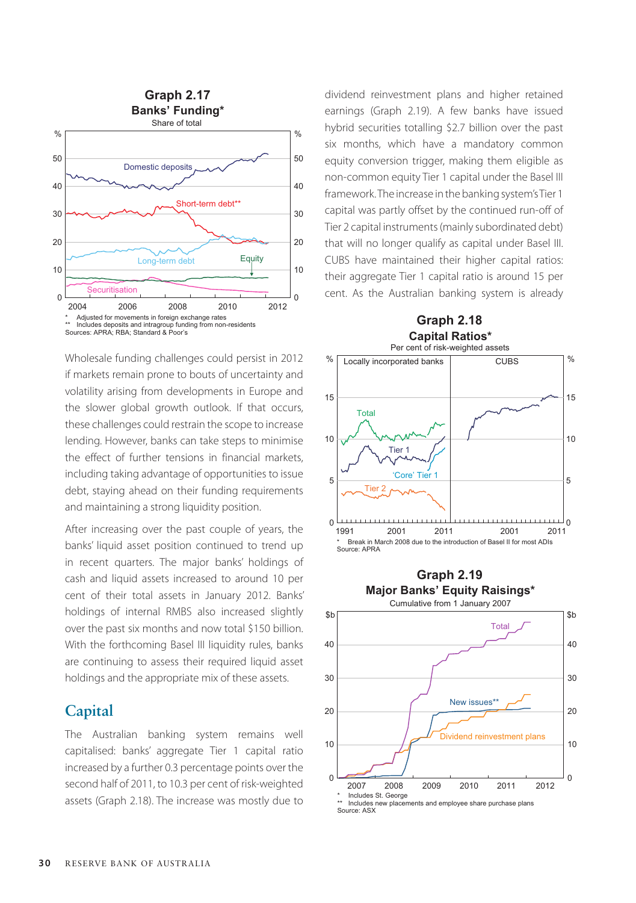

Wholesale funding challenges could persist in 2012 if markets remain prone to bouts of uncertainty and volatility arising from developments in Europe and the slower global growth outlook. If that occurs, these challenges could restrain the scope to increase lending. However, banks can take steps to minimise the effect of further tensions in financial markets, including taking advantage of opportunities to issue debt, staying ahead on their funding requirements and maintaining a strong liquidity position.

After increasing over the past couple of years, the banks' liquid asset position continued to trend up in recent quarters. The major banks' holdings of cash and liquid assets increased to around 10 per cent of their total assets in January 2012. Banks' holdings of internal RMBS also increased slightly over the past six months and now total \$150 billion. With the forthcoming Basel III liquidity rules, banks are continuing to assess their required liquid asset holdings and the appropriate mix of these assets.

### **Capital**

The Australian banking system remains well capitalised: banks' aggregate Tier 1 capital ratio increased by a further 0.3 percentage points over the second half of 2011, to 10.3 per cent of risk-weighted assets (Graph 2.18). The increase was mostly due to

dividend reinvestment plans and higher retained earnings (Graph 2.19). A few banks have issued hybrid securities totalling \$2.7 billion over the past six months, which have a mandatory common equity conversion trigger, making them eligible as non-common equity Tier 1 capital under the Basel III framework. The increase in the banking system's Tier 1 capital was partly offset by the continued run-off of Tier 2 capital instruments (mainly subordinated debt) that will no longer qualify as capital under Basel III. CUBS have maintained their higher capital ratios: their aggregate Tier 1 capital ratio is around 15 per cent. As the Australian banking system is already



Includes new placements and employee share purchase plans Source: ASX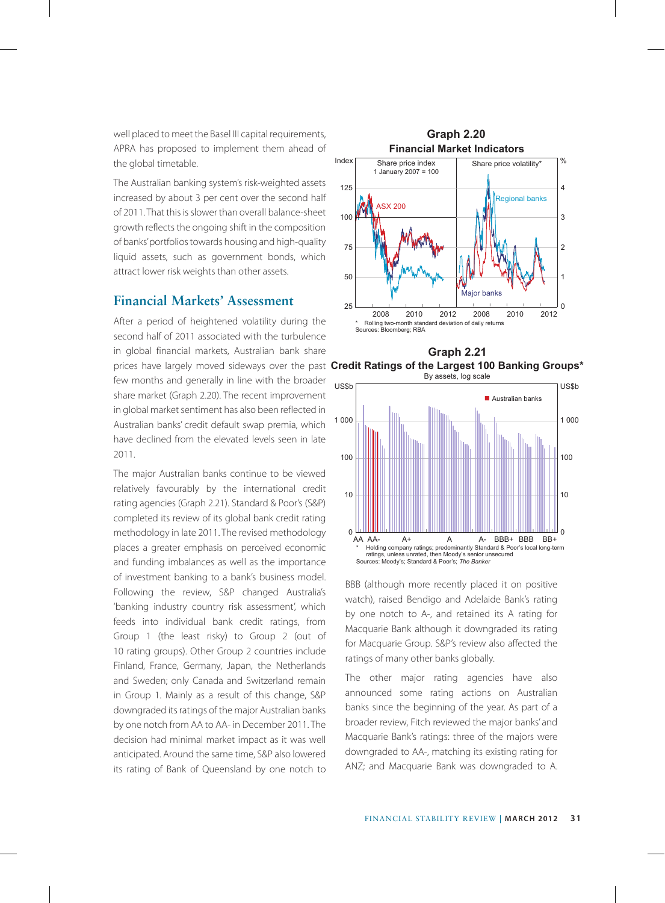well placed to meet the Basel III capital requirements, **Graph 2.20** APRA has proposed to implement them ahead of the global timetable.

The Australian banking system's risk-weighted assets increased by about 3 per cent over the second half of 2011. That this is slower than overall balance-sheet growth reflects the ongoing shift in the composition of banks' portfolios towards housing and high-quality liquid assets, such as government bonds, which attract lower risk weights than other assets.

## **Financial Markets' Assessment**

After a period of heightened volatility during the second half of 2011 associated with the turbulence in global financial markets, Australian bank share few months and generally in line with the broader share market (Graph 2.20). The recent improvement in global market sentiment has also been reflected in Australian banks' credit default swap premia, which have declined from the elevated levels seen in late 2011.

The major Australian banks continue to be viewed relatively favourably by the international credit rating agencies (Graph 2.21). Standard & Poor's (S&P) completed its review of its global bank credit rating methodology in late 2011. The revised methodology places a greater emphasis on perceived economic and funding imbalances as well as the importance of investment banking to a bank's business model. Following the review, S&P changed Australia's 'banking industry country risk assessment', which feeds into individual bank credit ratings, from Group 1 (the least risky) to Group 2 (out of 10 rating groups). Other Group 2 countries include Finland, France, Germany, Japan, the Netherlands and Sweden; only Canada and Switzerland remain in Group 1. Mainly as a result of this change, S&P downgraded its ratings of the major Australian banks by one notch from AA to AA- in December 2011. The decision had minimal market impact as it was well anticipated. Around the same time, S&P also lowered its rating of Bank of Queensland by one notch to





BBB (although more recently placed it on positive watch), raised Bendigo and Adelaide Bank's rating by one notch to A-, and retained its A rating for Macquarie Bank although it downgraded its rating for Macquarie Group. S&P's review also affected the ratings of many other banks globally.

The other major rating agencies have also announced some rating actions on Australian banks since the beginning of the year. As part of a broader review, Fitch reviewed the major banks' and Macquarie Bank's ratings: three of the majors were downgraded to AA-, matching its existing rating for ANZ; and Macquarie Bank was downgraded to A.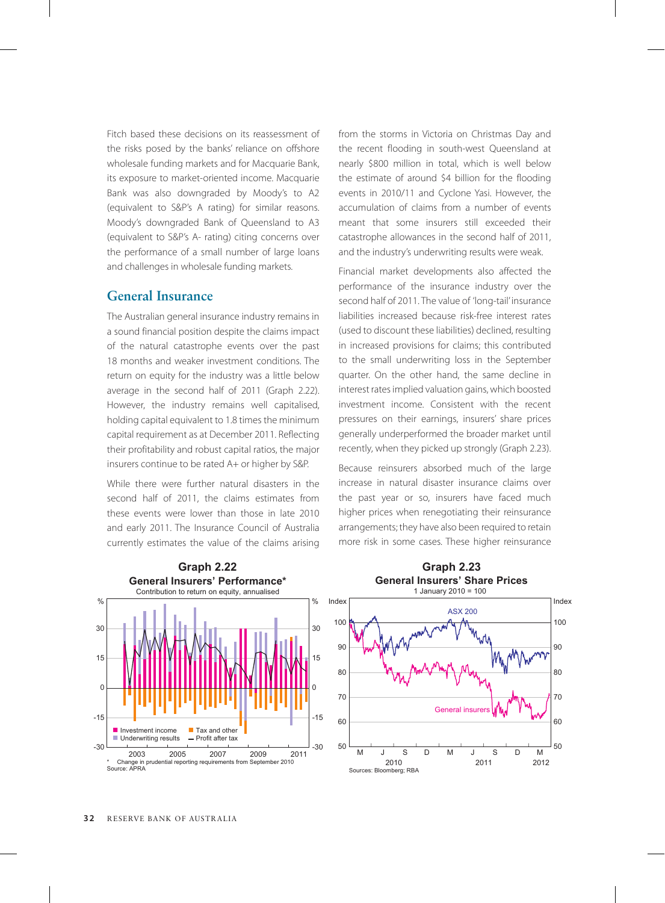Fitch based these decisions on its reassessment of the risks posed by the banks' reliance on offshore wholesale funding markets and for Macquarie Bank, its exposure to market-oriented income. Macquarie Bank was also downgraded by Moody's to A2 (equivalent to S&P's A rating) for similar reasons. Moody's downgraded Bank of Queensland to A3 (equivalent to S&P's A- rating) citing concerns over the performance of a small number of large loans and challenges in wholesale funding markets.

## **General Insurance**

The Australian general insurance industry remains in a sound financial position despite the claims impact of the natural catastrophe events over the past 18 months and weaker investment conditions. The return on equity for the industry was a little below average in the second half of 2011 (Graph 2.22). However, the industry remains well capitalised, holding capital equivalent to 1.8 times the minimum capital requirement as at December 2011. Reflecting their profitability and robust capital ratios, the major insurers continue to be rated A+ or higher by S&P.

While there were further natural disasters in the second half of 2011, the claims estimates from these events were lower than those in late 2010 and early 2011. The Insurance Council of Australia currently estimates the value of the claims arising

from the storms in Victoria on Christmas Day and the recent flooding in south-west Queensland at nearly \$800 million in total, which is well below the estimate of around \$4 billion for the flooding events in 2010/11 and Cyclone Yasi. However, the accumulation of claims from a number of events meant that some insurers still exceeded their catastrophe allowances in the second half of 2011, and the industry's underwriting results were weak.

Financial market developments also affected the performance of the insurance industry over the second half of 2011. The value of 'long-tail' insurance liabilities increased because risk-free interest rates (used to discount these liabilities) declined, resulting in increased provisions for claims; this contributed to the small underwriting loss in the September quarter. On the other hand, the same decline in interest rates implied valuation gains, which boosted investment income. Consistent with the recent pressures on their earnings, insurers' share prices generally underperformed the broader market until recently, when they picked up strongly (Graph 2.23).

Because reinsurers absorbed much of the large increase in natural disaster insurance claims over the past year or so, insurers have faced much higher prices when renegotiating their reinsurance arrangements; they have also been required to retain more risk in some cases. These higher reinsurance



#### **General Insurers' Share Prices** 1 January 2010 = 100 **Graph 2.23**

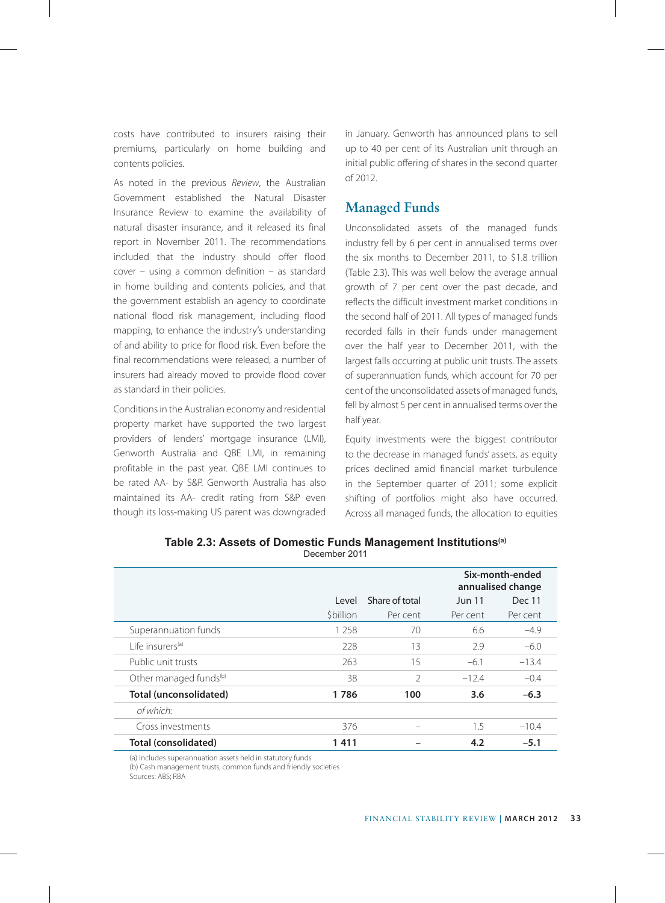costs have contributed to insurers raising their premiums, particularly on home building and contents policies.

As noted in the previous *Review*, the Australian Government established the Natural Disaster Insurance Review to examine the availability of natural disaster insurance, and it released its final report in November 2011. The recommendations included that the industry should offer flood cover – using a common definition – as standard in home building and contents policies, and that the government establish an agency to coordinate national flood risk management, including flood mapping, to enhance the industry's understanding of and ability to price for flood risk. Even before the final recommendations were released, a number of insurers had already moved to provide flood cover as standard in their policies.

Conditions in the Australian economy and residential property market have supported the two largest providers of lenders' mortgage insurance (LMI), Genworth Australia and QBE LMI, in remaining profitable in the past year. QBE LMI continues to be rated AA- by S&P. Genworth Australia has also maintained its AA- credit rating from S&P even though its loss-making US parent was downgraded in January. Genworth has announced plans to sell up to 40 per cent of its Australian unit through an initial public offering of shares in the second quarter of 2012.

# **Managed Funds**

Unconsolidated assets of the managed funds industry fell by 6 per cent in annualised terms over the six months to December 2011, to \$1.8 trillion (Table 2.3). This was well below the average annual growth of 7 per cent over the past decade, and reflects the difficult investment market conditions in the second half of 2011. All types of managed funds recorded falls in their funds under management over the half year to December 2011, with the largest falls occurring at public unit trusts. The assets of superannuation funds, which account for 70 per cent of the unconsolidated assets of managed funds, fell by almost 5 per cent in annualised terms over the half year.

Equity investments were the biggest contributor to the decrease in managed funds' assets, as equity prices declined amid financial market turbulence in the September quarter of 2011; some explicit shifting of portfolios might also have occurred. Across all managed funds, the allocation to equities

|                                    |                 | Six-month-ended<br>annualised change |               |          |
|------------------------------------|-----------------|--------------------------------------|---------------|----------|
|                                    | Level           | Share of total                       | <b>Jun 11</b> | Dec 11   |
|                                    | <b>Sbillion</b> | Per cent                             | Per cent      | Per cent |
| Superannuation funds               | 1 258           | 70                                   | 6.6           | $-4.9$   |
| l ife insurers <sup>(a)</sup>      | 228             | 13                                   | 2.9           | $-6.0$   |
| Public unit trusts                 | 263             | 15                                   | $-6.1$        | $-13.4$  |
| Other managed funds <sup>(b)</sup> | 38              | $\mathcal{P}$                        | $-12.4$       | $-0.4$   |
| Total (unconsolidated)             | 1786            | 100                                  | 3.6           | $-6.3$   |
| of which:                          |                 |                                      |               |          |
| Cross investments                  | 376             | $\overline{\phantom{a}}$             | 1.5           | $-10.4$  |
| Total (consolidated)               | 1411            |                                      | 4.2           | $-5.1$   |

**Table 2.3: Assets of Domestic Funds Management Institutions(a)** December 2011

(a) Includes superannuation assets held in statutory funds (b) Cash management trusts, common funds and friendly societies Sources: ABS; RBA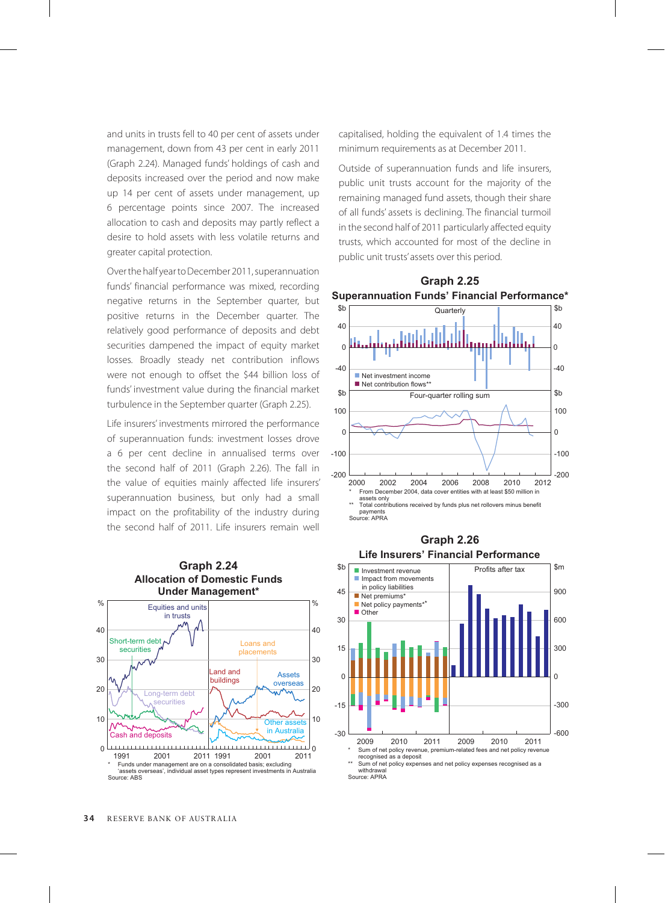and units in trusts fell to 40 per cent of assets under management, down from 43 per cent in early 2011 (Graph 2.24). Managed funds' holdings of cash and deposits increased over the period and now make up 14 per cent of assets under management, up 6 percentage points since 2007. The increased allocation to cash and deposits may partly reflect a desire to hold assets with less volatile returns and greater capital protection.

Over the half year to December 2011, superannuation funds' financial performance was mixed, recording negative returns in the September quarter, but positive returns in the December quarter. The relatively good performance of deposits and debt securities dampened the impact of equity market losses. Broadly steady net contribution inflows were not enough to offset the \$44 billion loss of funds' investment value during the financial market turbulence in the September quarter (Graph 2.25).

Life insurers' investments mirrored the performance of superannuation funds: investment losses drove a 6 per cent decline in annualised terms over the second half of 2011 (Graph 2.26). The fall in the value of equities mainly affected life insurers' superannuation business, but only had a small impact on the profitability of the industry during the second half of 2011. Life insurers remain well



capitalised, holding the equivalent of 1.4 times the minimum requirements as at December 2011.

Outside of superannuation funds and life insurers, public unit trusts account for the majority of the remaining managed fund assets, though their share of all funds' assets is declining. The financial turmoil in the second half of 2011 particularly affected equity trusts, which accounted for most of the decline in public unit trusts' assets over this period.



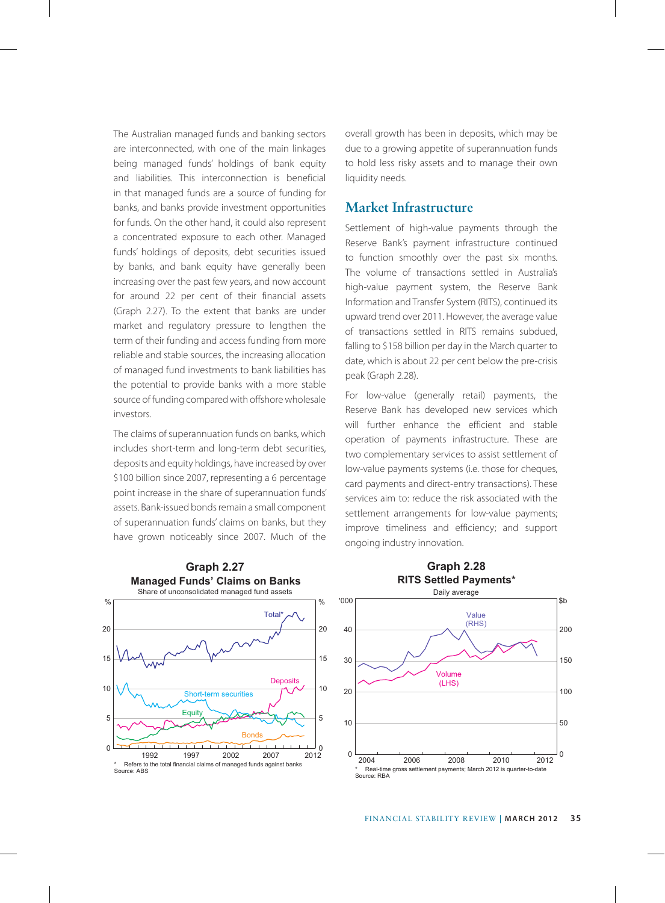The Australian managed funds and banking sectors are interconnected, with one of the main linkages being managed funds' holdings of bank equity and liabilities. This interconnection is beneficial in that managed funds are a source of funding for banks, and banks provide investment opportunities for funds. On the other hand, it could also represent a concentrated exposure to each other. Managed funds' holdings of deposits, debt securities issued by banks, and bank equity have generally been increasing over the past few years, and now account for around 22 per cent of their financial assets (Graph 2.27). To the extent that banks are under market and regulatory pressure to lengthen the term of their funding and access funding from more reliable and stable sources, the increasing allocation of managed fund investments to bank liabilities has the potential to provide banks with a more stable source of funding compared with offshore wholesale investors.

The claims of superannuation funds on banks, which includes short-term and long-term debt securities, deposits and equity holdings, have increased by over \$100 billion since 2007, representing a 6 percentage point increase in the share of superannuation funds' assets. Bank-issued bonds remain a small component of superannuation funds' claims on banks, but they have grown noticeably since 2007. Much of the overall growth has been in deposits, which may be due to a growing appetite of superannuation funds to hold less risky assets and to manage their own liquidity needs.

### **Market Infrastructure**

Settlement of high-value payments through the Reserve Bank's payment infrastructure continued to function smoothly over the past six months. The volume of transactions settled in Australia's high-value payment system, the Reserve Bank Information and Transfer System (RITS), continued its upward trend over 2011. However, the average value of transactions settled in RITS remains subdued, falling to \$158 billion per day in the March quarter to date, which is about 22 per cent below the pre-crisis peak (Graph 2.28).

For low-value (generally retail) payments, the Reserve Bank has developed new services which will further enhance the efficient and stable operation of payments infrastructure. These are two complementary services to assist settlement of low-value payments systems (i.e. those for cheques, card payments and direct-entry transactions). These services aim to: reduce the risk associated with the settlement arrangements for low-value payments; improve timeliness and efficiency; and support ongoing industry innovation.





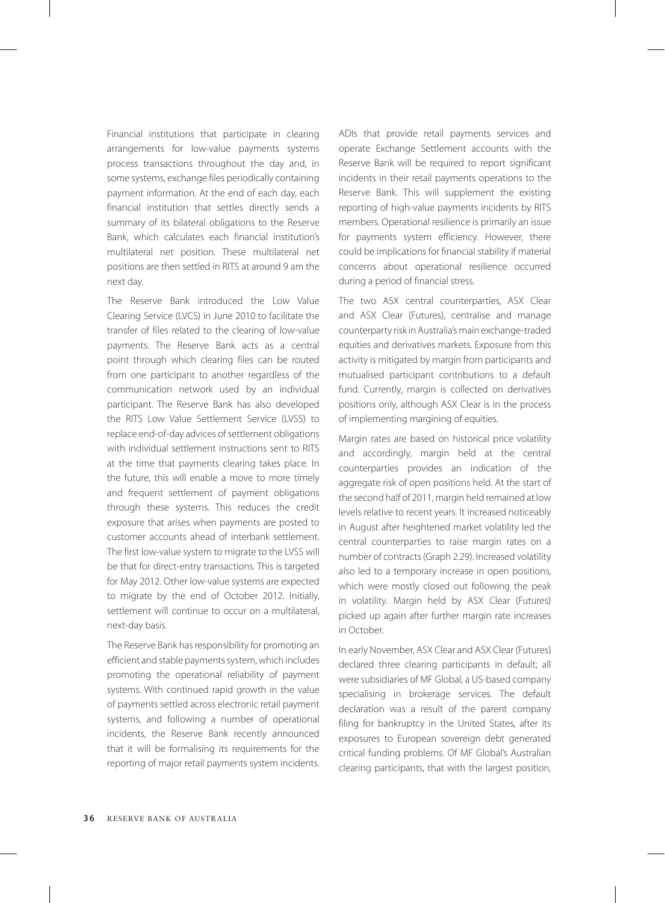Financial institutions that participate in clearing arrangements for low-value payments systems process transactions throughout the day and, in some systems, exchange files periodically containing payment information. At the end of each day, each financial institution that settles directly sends a summary of its bilateral obligations to the Reserve Bank, which calculates each financial institution's multilateral net position. These multilateral net positions are then settled in RITS at around 9 am the next day.

The Reserve Bank introduced the Low Value Clearing Service (LVCS) in June 2010 to facilitate the transfer of files related to the clearing of low-value payments. The Reserve Bank acts as a central point through which clearing files can be routed from one participant to another regardless of the communication network used by an individual participant. The Reserve Bank has also developed the RITS Low Value Settlement Service (LVSS) to replace end-of-day advices of settlement obligations with individual settlement instructions sent to RITS at the time that payments clearing takes place. In the future, this will enable a move to more timely and frequent settlement of payment obligations through these systems. This reduces the credit exposure that arises when payments are posted to customer accounts ahead of interbank settlement. The first low-value system to migrate to the LVSS will be that for direct-entry transactions. This is targeted for May 2012. Other low-value systems are expected to migrate by the end of October 2012. Initially, settlement will continue to occur on a multilateral, next-day basis.

The Reserve Bank has responsibility for promoting an efficient and stable payments system, which includes promoting the operational reliability of payment systems. With continued rapid growth in the value of payments settled across electronic retail payment systems, and following a number of operational incidents, the Reserve Bank recently announced that it will be formalising its requirements for the reporting of major retail payments system incidents.

ADIs that provide retail payments services and operate Exchange Settlement accounts with the Reserve Bank will be required to report significant incidents in their retail payments operations to the Reserve Bank. This will supplement the existing reporting of high-value payments incidents by RITS members. Operational resilience is primarily an issue for payments system efficiency. However, there could be implications for financial stability if material concerns about operational resilience occurred during a period of financial stress.

The two ASX central counterparties, ASX Clear and ASX Clear (Futures), centralise and manage counterparty risk in Australia's main exchange-traded equities and derivatives markets. Exposure from this activity is mitigated by margin from participants and mutualised participant contributions to a default fund. Currently, margin is collected on derivatives positions only, although ASX Clear is in the process of implementing margining of equities.

Margin rates are based on historical price volatility and accordingly, margin held at the central counterparties provides an indication of the aggregate risk of open positions held. At the start of the second half of 2011, margin held remained at low levels relative to recent years. It increased noticeably in August after heightened market volatility led the central counterparties to raise margin rates on a number of contracts (Graph 2.29). Increased volatility also led to a temporary increase in open positions, which were mostly closed out following the peak in volatility. Margin held by ASX Clear (Futures) picked up again after further margin rate increases in October.

In early November, ASX Clear and ASX Clear (Futures) declared three clearing participants in default; all were subsidiaries of MF Global, a US-based company specialising in brokerage services. The default declaration was a result of the parent company filing for bankruptcy in the United States, after its exposures to European sovereign debt generated critical funding problems. Of MF Global's Australian clearing participants, that with the largest position,